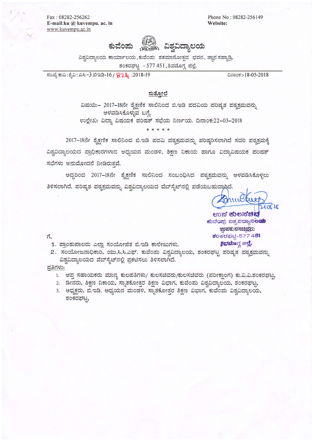Fax : 08282-256262 E-mail:ku @ kuvempu. ac. in www.kuvempu.ac.in

Phone No: 08282-256149 Website:



ವಿಶ್ವವಿದ್ಯಾಲಯ ಕಾರ್ಯಾಲಯ,ಕುವೆಂಪು ಶತಮಾನೋತ್ಸವ ಭವನ, ಜ್ಞಾನ ಸಹ್ಯಾಡ್ರಿ, ಶಂಕರಘಟ್ಟ - 577 451, ಶಿವಮೊಗ್ಗ ಜಿಲ್ಲೆ.

ಸಂಖ್ಯೆ ಕುವಿ : ಶೈವಿ : ಎಸಿ –3 ಬಿಇಡಿ-16 /  $\sqrt{24}$  :2018-19  $\sqrt{24}$  :2018-19  $\sqrt{24}$  :2018-19

#### <u>ಸುತೋಲೆ</u>

ವಿಷಯ:– 2017–18ನೇ ಶೈಕ್ಷಣಿಕ ಸಾಲಿನಿಂದ ಬಿ.ಇಡಿ ಪದವಿಯ ಪರಿಷ್ಠತ ಪಠ್ಯಕ್ರಮವನ್ನು ಅಳವಡಿಸಿಕೊಳ್ಳುವ ಬಗ್ಗೆ. ಉಲ್ಲೇಖ: ವಿದ್ಯಾ ವಿಷಯಕ ಪರಿಷತ್ ಸಭೆಯ ನಿರ್ಣಯ. ದಿನಾಂಕ:22-03-2018

\* \* \* \* \*

2017-18ನೇ ಶೈಕ್ಷಣಿಕ ಸಾಲಿನಿಂದ ಬಿ.ಇಡಿ ಪದವಿ ಪಠ್ಯಕ್ರಮವನ್ನು ಪರಿಷ್ಕರಿಸಲಾಗಿದೆ ಸದರಿ ಪಠ್ಯಕ್ರಮಕ್ಕೆ ವಿಶ್ವವಿದ್ಯಾಲಯದ ಪ್ರಾಧಿಕಾರಗಳಾದ ಅಧ್ಯಯನ ಮಂಡಳಿ, ಶಿಕ್ಷಣ ನಿಕಾಯ ಹಾಗೂ ವಿದ್ಯಾವಿಷಯಕ ಪರಿಷತ್ ಸಭೆಗಳು ಅನುಮೋದನೆ ನೀಡಿರುತವೆ.

ಅದ್ದರಿಂದ 2017–18ನೇ ಶ್ನೆಕ್ಷಣಿಕ ಸಾಲಿನಿಂದ ಸಂಬಂಧಿಸಿದ ಪಠ್ಯಕ್ರಮವನ್ನು ಅಳವಡಿಸಿಕೊಳ್ಳಲು ತಿಳಿಸಲಾಗಿದೆ. ಪರಿಷೃತ ಪಠ್ಯಕ್ರಮವನ್ನು ವಿಶ್ವವಿದ್ಯಾಲಯದ ವೆಬ್**ಸೈಟ್**ನಲ್ಲಿ ಪಡೆಯಬಹುದಾಗಿದೆ.

 $210518$ 

ಉಪ ಕುಲಸಚಿವ ಕುವೆಂಪು ಖಶ್ಯಖದ್ಯಾನಿಲ**ಯ 920 add to A23 add ಶಂ**ಕರಫಭ್ವ-577 4**51** ಶಿವಮೊಗ್ಗ ಜಲ್ಲೆ.

 $\vec{n},$ 

- 1. ಪ್ರಾಂಶುಪಾಲರು ಎಲ್ಲಾ ಸಂಯೋಜಿತ ಬಿ.ಇಡಿ ಕಾಲೇಜುಗಳು.
- 2. ಸಂಯೋಜನಾಧಿಕಾರಿ, ಯು.ಸಿ.ಸಿ.ಎಫ್. ಕುವೆಂಪು ವಿಶ್ವವಿದ್ಯಾಲಯ, ಶಂಕರಘಟ್ಟ ಪರಿಷೃತ ಪಠ್ಯಕ್ರಮವನ್ನು ವಿಶ್ವವಿದ್ಯಾಲಯದ ವೆಬ್ ಸೈಟ್ ನಲ್ಲಿ ಪ್ರಕಟಿಸಲು ತಿಳಿಸಲಾಗಿದೆ.

ಪ್ರತಿಗಳು:

- . ಆಪ್ತ ಸಹಾಯಕರು ಮಾನ್ಯ ಕುಲಪತಿಗಳು/ ಕುಲಸಚಿವರು/ಕುಲಸಚಿವರು (ಪರೀಕ್ಷಾಂಗ) ಕು.ವಿ.ವಿ.ಶಂಕರಘಟ್ಟ
- 2. ಡೀನರು, ಶಿಕ್ಷಣ ನಿಕಾಯ, ಸ್ವಾತಕೋತ್ತರ ಶಿಕ್ಷಣ ವಿಭಾಗ, ಕುವೆಂಪು ವಿಶ್ವವಿದ್ಯಾಲಯ, ಶಂಕರಘಟ್ಟ 3. ಅಧ್ಯಕ್ಷರು, ಬಿ.ಇಡಿ. ಅಧ್ಯಯನ ಮಂಡಳಿ, ಸ್ನಾತಕೋತ್ತರ ಶಿಕ್ಷಣ ವಿಭಾಗ, ಕುವೆಂಪು ವಿಶ್ವವಿದ್ಯಾಲಯ ಶಂಕರಘಟ್ಣ,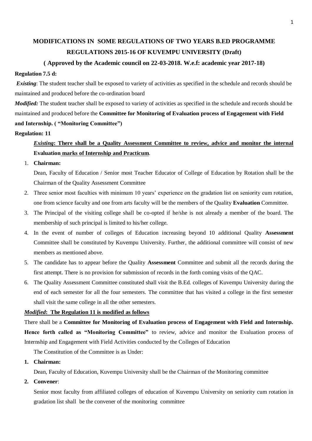# **MODIFICATIONS IN SOME REGULATIONS OF TWO YEARS B.ED PROGRAMME REGULATIONS 2015-16 OF KUVEMPU UNIVERSITY (Draft)**

## **( Approved by the Academic council on 22-03-2018. W.e.f: academic year 2017-18)**

#### **Regulation 7.5 d:**

*Existing*: The student teacher shall be exposed to variety of activities as specified in the schedule and records should be maintained and produced before the co-ordination board

*Modified:* The student teacher shall be exposed to variety of activities as specified in the schedule and records should be maintained and produced before the **Committee for Monitoring of Evaluation process of Engagement with Field and Internship. ( "Monitoring Committee")**

#### **Regulation: 11**

# *Existing***: There shall be a Quality Assessment Committee to review, advice and monitor the internal Evaluation marks of Internship and Practicum**.

#### 1. **Chairman:**

Dean, Faculty of Education / Senior most Teacher Educator of College of Education by Rotation shall be the Chairman of the Quality Assessment Committee

- 2. Three senior most faculties with minimum 10 years' experience on the gradation list on seniority cum rotation, one from science faculty and one from arts faculty will be the members of the Quality **Evaluation** Committee.
- 3. The Principal of the visiting college shall be co-opted if he/she is not already a member of the board. The membership of such principal is limited to his/her college.
- 4. In the event of number of colleges of Education increasing beyond 10 additional Quality **Assessment**  Committee shall be constituted by Kuvempu University. Further, the additional committee will consist of new members as mentioned above.
- 5. The candidate has to appear before the Quality **Assessment** Committee and submit all the records during the first attempt. There is no provision for submission of records in the forth coming visits of the QAC.
- 6. The Quality Assessment Committee constituted shall visit the B.Ed. colleges of Kuvempu University during the end of each semester for all the four semesters. The committee that has visited a college in the first semester shall visit the same college in all the other semesters.

## *Modified***: The Regulation 11 is modified as follows**

## There shall be a **Committee for Monitoring of Evaluation process of Engagement with Field and Internship.**

**Hence forth called as "Monitoring Committee"** to review, advice and monitor the Evaluation process of Internship and Engagement with Field Activities conducted by the Colleges of Education

The Constitution of the Committee is as Under:

**1. Chairman:**

Dean, Faculty of Education, Kuvempu University shall be the Chairman of the Monitoring committee

**2. Convener**:

Senior most faculty from affiliated colleges of education of Kuvempu University on seniority cum rotation in gradation list shall be the convener of the monitoring committee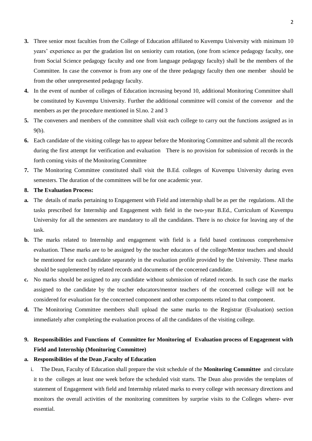- **3.** Three senior most faculties from the College of Education affiliated to Kuvempu University with minimum 10 years' experience as per the gradation list on seniority cum rotation, (one from science pedagogy faculty, one from Social Science pedagogy faculty and one from language pedagogy faculty) shall be the members of the Committee. In case the convenor is from any one of the three pedagogy faculty then one member should be from the other unrepresented pedagogy faculty.
- **4.** In the event of number of colleges of Education increasing beyond 10, additional Monitoring Committee shall be constituted by Kuvempu University. Further the additional committee will consist of the convenor and the members as per the procedure mentioned in Sl.no. 2 and 3
- **5.** The conveners and members of the committee shall visit each college to carry out the functions assigned as in 9(b).
- **6.** Each candidate of the visiting college has to appear before the Monitoring Committee and submit all the records during the first attempt for verification and evaluation There is no provision for submission of records in the forth coming visits of the Monitoring Committee
- **7.** The Monitoring Committee constituted shall visit the B.Ed. colleges of Kuvempu University during even semesters. The duration of the committees will be for one academic year.
- **8. The Evaluation Process:**
- **a.** The details of marks pertaining to Engagement with Field and internship shall be as per the regulations. All the tasks prescribed for Internship and Engagement with field in the two-year B.Ed., Curriculum of Kuvempu University for all the semesters are mandatory to all the candidates. There is no choice for leaving any of the task.
- **b.** The marks related to Internship and engagement with field is a field based continuous comprehensive evaluation. These marks are to be assigned by the teacher educators of the college/Mentor teachers and should be mentioned for each candidate separately in the evaluation profile provided by the University. These marks should be supplemented by related records and documents of the concerned candidate.
- **c.** No marks should be assigned to any candidate without submission of related records. In such case the marks assigned to the candidate by the teacher educators/mentor teachers of the concerned college will not be considered for evaluation for the concerned component and other components related to that component.
- **d.** The Monitoring Committee members shall upload the same marks to the Registrar (Evaluation) section immediately after completing the evaluation process of all the candidates of the visiting college.

# **9. Responsibilities and Functions of Committee for Monitoring of Evaluation process of Engagement with Field and Internship (Monitoring Committee)**

#### **a. Responsibilities of the Dean ,Faculty of Education**

i. The Dean, Faculty of Education shall prepare the visit schedule of the **Monitoring Committee** and circulate it to the colleges at least one week before the scheduled visit starts. The Dean also provides the templates of statement of Engagement with field and Internship related marks to every college with necessary directions and monitors the overall activities of the monitoring committees by surprise visits to the Colleges where- ever essential.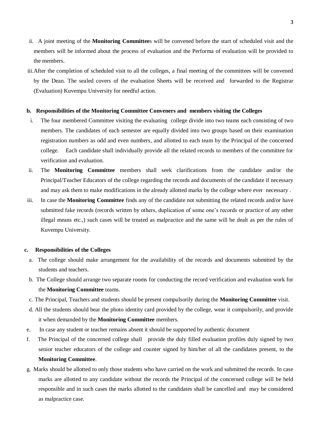- ii. A joint meeting of the **Monitoring Committee**s will be convened before the start of scheduled visit and the members will be informed about the process of evaluation and the Performa of evaluation will be provided to the members.
- iii.After the completion of scheduled visit to all the colleges, a final meeting of the committees will be convened by the Dean. The sealed covers of the evaluation Sheets will be received and forwarded to the Registrar (Evaluation) Kuvempu University for needful action.

#### **b. Responsibilities of the Monitoring Committee Conveners and members visiting the Colleges**

- i. The four membered Committee visiting the evaluating college divide into two teams each consisting of two members. The candidates of each semester are equally divided into two groups based on their examination registration numbers as odd and even numbers, and allotted to each team by the Principal of the concerned college. Each candidate shall individually provide all the related records to members of the committee for verification and evaluation.
- ii. The **Monitoring Committee** members shall seek clarifications from the candidate and/or the Principal/Teacher Educators of the college regarding the records and documents of the candidate if necessary and may ask them to make modifications in the already allotted marks by the college where ever necessary .
- iii. In case the **Monitoring Committee** finds any of the candidate not submitting the related records and/or have submitted fake records (records written by others, duplication of some one's records or practice of any other illegal means etc.,) such cases will be treated as malpractice and the same will be dealt as per the rules of Kuvempu University.

#### **c. Responsibilities of the Colleges**

- a. The college should make arrangement for the availability of the records and documents submitted by the students and teachers.
- b. The College should arrange two separate rooms for conducting the record verification and evaluation work for the **Monitoring Committee** teams.
- c. The Principal, Teachers and students should be present compulsorily during the **Monitoring Committee** visit.
- d. All the students should bear the photo identity card provided by the college, wear it compulsorily, and provide it when demanded by the **Monitoring Committee** members.
- e. In case any student or teacher remains absent it should be supported by authentic document
- f. The Principal of the concerned college shall provide the duly filled evaluation profiles duly signed by two senior teacher educators of the college and counter signed by him/her of all the candidates present, to the **Monitoring Committee**.
- g. Marks should be allotted to only those students who have carried on the work and submitted the records. In case marks are allotted to any candidate without the records the Principal of the concerned college will be held responsible and in such cases the marks allotted to the candidates shall be cancelled and may be considered as malpractice case.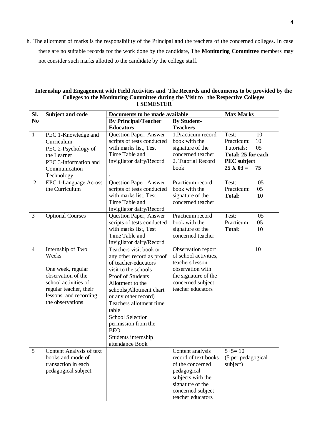h. The allotment of marks is the responsibility of the Principal and the teachers of the concerned colleges. In case there are no suitable records for the work done by the candidate, The **Monitoring Committee** members may not consider such marks allotted to the candidate by the college staff.

| Internship and Engagement with Field Activities and The Records and documents to be provided by the |
|-----------------------------------------------------------------------------------------------------|
| Colleges to the Monitoring Committee during the Visit to the Respective Colleges                    |
| <b>I SEMESTER</b>                                                                                   |

| SI.            | Subject and code                                                                                                                                                     | Documents to be made available                                                                                                                                                                                                                                                                                                                |                                                                                                                                                                | <b>Max Marks</b>                                                                                                     |  |
|----------------|----------------------------------------------------------------------------------------------------------------------------------------------------------------------|-----------------------------------------------------------------------------------------------------------------------------------------------------------------------------------------------------------------------------------------------------------------------------------------------------------------------------------------------|----------------------------------------------------------------------------------------------------------------------------------------------------------------|----------------------------------------------------------------------------------------------------------------------|--|
| N <sub>0</sub> |                                                                                                                                                                      | <b>By Principal/Teacher</b><br><b>Educators</b>                                                                                                                                                                                                                                                                                               | <b>By Student-</b><br><b>Teachers</b>                                                                                                                          |                                                                                                                      |  |
| $\mathbf{1}$   | PEC 1-Knowledge and<br>Curriculum<br>PEC 2-Psychology of<br>the Learner<br>PEC 3-Information and<br>Communication<br>Technology                                      | Question Paper, Answer<br>scripts of tests conducted<br>with marks list, Test<br>Time Table and<br>invigilator dairy/Record                                                                                                                                                                                                                   | 1. Practicum record<br>book with the<br>signature of the<br>concerned teacher<br>2. Tutorial Record<br>book                                                    | Test:<br>10<br>Practicum:<br>10<br>05<br>Tutorials:<br>Total: 25 for each<br><b>PEC</b> subject<br>$25 X 03 =$<br>75 |  |
| 2              | EPC 1-Language Across<br>the Curriculum                                                                                                                              | Question Paper, Answer<br>scripts of tests conducted<br>with marks list, Test<br>Time Table and<br>invigilator dairy/Record                                                                                                                                                                                                                   | Practicum record<br>book with the<br>signature of the<br>concerned teacher                                                                                     | Test:<br>05<br>Practicum:<br>05<br>10<br><b>Total:</b>                                                               |  |
| 3              | <b>Optional Courses</b>                                                                                                                                              | Question Paper, Answer<br>scripts of tests conducted<br>with marks list, Test<br>Time Table and<br>invigilator dairy/Record                                                                                                                                                                                                                   | Practicum record<br>book with the<br>signature of the<br>concerned teacher                                                                                     | Test:<br>05<br>Practicum:<br>05<br><b>Total:</b><br>10                                                               |  |
| $\overline{4}$ | Internship of Two<br>Weeks<br>One week, regular<br>observation of the<br>school activities of<br>regular teacher, their<br>lessons and recording<br>the observations | Teachers visit book or<br>any other record as proof<br>of teacher-educators<br>visit to the schools<br>Proof of Students<br>Allotment to the<br>schools(Allotment chart<br>or any other record)<br>Teachers allotment time<br>table<br><b>School Selection</b><br>permission from the<br><b>BEO</b><br>Students internship<br>attendance Book | Observation report<br>of school activities,<br>teachers lesson<br>observation with<br>the signature of the<br>concerned subject<br>teacher educators           | 10                                                                                                                   |  |
| 5              | Content Analysis of text<br>books and mode of<br>transaction in each<br>pedagogical subject.                                                                         |                                                                                                                                                                                                                                                                                                                                               | Content analysis<br>record of text books<br>of the concerned<br>pedagogical<br>subjects with the<br>signature of the<br>concerned subject<br>teacher educators | $5+5=10$<br>(5 per pedagogical<br>subject)                                                                           |  |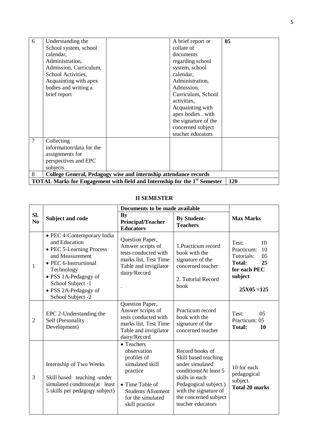| 6              | Understanding the                                                |                                                                                  | A brief report or    | 0 <sub>5</sub> |  |  |
|----------------|------------------------------------------------------------------|----------------------------------------------------------------------------------|----------------------|----------------|--|--|
|                | School system, school                                            |                                                                                  | collate of           |                |  |  |
|                | calendar,                                                        |                                                                                  | documents            |                |  |  |
|                | Administration,                                                  |                                                                                  | regarding school     |                |  |  |
|                | Admission, Curriculum,                                           |                                                                                  | system, school       |                |  |  |
|                | School Activities,                                               |                                                                                  | calendar,            |                |  |  |
|                | Acquainting with apex                                            |                                                                                  | Administration,      |                |  |  |
|                | bodies and writing a                                             |                                                                                  | Admission,           |                |  |  |
|                | brief report                                                     |                                                                                  | Curriculum, School   |                |  |  |
|                |                                                                  |                                                                                  | activities,          |                |  |  |
|                |                                                                  |                                                                                  | Acquainting with     |                |  |  |
|                |                                                                  |                                                                                  | apex bodies . with   |                |  |  |
|                |                                                                  |                                                                                  | the signature of the |                |  |  |
|                |                                                                  |                                                                                  | concerned subject    |                |  |  |
|                |                                                                  |                                                                                  | teacher educators    |                |  |  |
| $\overline{7}$ | Collecting                                                       |                                                                                  |                      |                |  |  |
|                | information/data for the                                         |                                                                                  |                      |                |  |  |
|                | assignments for                                                  |                                                                                  |                      |                |  |  |
|                | perspectives and EPC                                             |                                                                                  |                      |                |  |  |
|                | subjects                                                         |                                                                                  |                      |                |  |  |
| 8              | College General, Pedagogy wise and internship attendance records |                                                                                  |                      |                |  |  |
|                |                                                                  | <b>TOTAL Marks for Engagement with field and Internship for the 1st Semester</b> |                      | 120            |  |  |

## **II SEMESTER**

|                       |                                                                                                                                                                                                                             | Documents to be made available                                                                                                                                         |                                                                                                                                                                                                       |                                                                                                                 |
|-----------------------|-----------------------------------------------------------------------------------------------------------------------------------------------------------------------------------------------------------------------------|------------------------------------------------------------------------------------------------------------------------------------------------------------------------|-------------------------------------------------------------------------------------------------------------------------------------------------------------------------------------------------------|-----------------------------------------------------------------------------------------------------------------|
| Sl.<br>N <sub>0</sub> | Subject and code                                                                                                                                                                                                            | By<br><b>Principal/Teacher</b><br><b>Educators</b>                                                                                                                     | <b>By Student-</b><br><b>Teachers</b>                                                                                                                                                                 | <b>Max Marks</b>                                                                                                |
| 1                     | • PEC 4-Contemporary India<br>and Education<br>• PEC 5-Learning Process<br>and Measurement<br>• PEC 6-Instructional<br>Technology<br>• PSS 1A-Pedagogy of<br>School Subject -1<br>• PSS 2A-Pedagogy of<br>School Subject -2 | Question Paper,<br>Answer scripts of<br>tests conducted with<br>marks list, Test Time<br>Table and invigilator<br>dairy/Record                                         | 1. Practicum record<br>book with the<br>signature of the<br>concerned teacher<br>2. Tutorial Record<br>book                                                                                           | 10<br>Test:<br>Practicum:<br>10<br>Tutorials:<br>05<br>25<br>Total:<br>for each PEC<br>subject<br>$25X05 = 125$ |
| $\overline{2}$        | EPC 2-Understanding the<br>Self (Personality<br>Development)                                                                                                                                                                | Question Paper,<br>Answer scripts of<br>tests conducted with<br>marks list, Test Time<br>Table and invigilator<br>dairy/Record                                         | Practicum record<br>book with the<br>signature of the<br>concerned teacher                                                                                                                            | Test:<br>0 <sub>5</sub><br>Practicum: 05<br><b>Total:</b><br>10                                                 |
| 3                     | Internship of Two Weeks<br>Skill based teaching -under<br>simulated conditions(at least<br>5 skills per pedagogy subject)                                                                                                   | • Teachers<br>observation<br>profiles of<br>simulated skill<br>practice<br>$\bullet$ Time Table of<br><b>Students Allotment</b><br>for the simulated<br>skill practice | Record books of<br>Skill based teaching<br>under simulated<br>conditions(At least 5<br>skills in each<br>Pedagogical subject.)<br>with the signature of<br>the concerned subject<br>teacher educators | 10 for each<br>pedagogical<br>subject.<br><b>Total 20 marks</b>                                                 |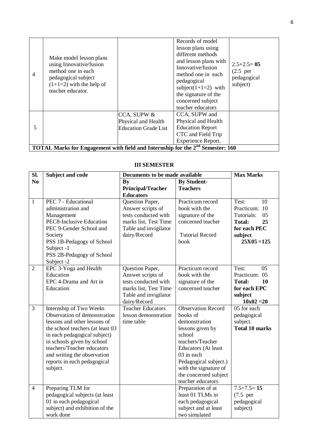| $\overline{4}$ | Make model lesson plans<br>using Innovative/fusion<br>method one in each<br>pedagogical subject<br>$(1+1=2)$ with the help of<br>teacher educator. |                                                                   | Records of model<br>lesson plans using<br>different methods<br>and lesson plans with<br>Innovative/fusion<br>method one in each<br>pedagogical<br>subject( $1+1=2$ ) with<br>the signature of the<br>concerned subject<br>teacher educators | $2.5+2.5=05$<br>$(2.5$ per<br>pedagogical<br>subject) |
|----------------|----------------------------------------------------------------------------------------------------------------------------------------------------|-------------------------------------------------------------------|---------------------------------------------------------------------------------------------------------------------------------------------------------------------------------------------------------------------------------------------|-------------------------------------------------------|
| 5              |                                                                                                                                                    | CCA, SUPW &<br>Physical and Health<br><b>Education Grade List</b> | CCA, SUPW and<br>Physical and Health<br><b>Education Report</b><br>CTC and Field Trip<br>Experience Report.                                                                                                                                 |                                                       |
|                | TOTAL Marks for Engagement with field and Internship for the 2 <sup>nd</sup> Semester: 160                                                         |                                                                   |                                                                                                                                                                                                                                             |                                                       |

| Sl.            | <b>Subject and code</b>          | Documents to be made available |                           | <b>Max Marks</b>        |
|----------------|----------------------------------|--------------------------------|---------------------------|-------------------------|
| N <sub>0</sub> |                                  | By                             | <b>By Student-</b>        |                         |
|                |                                  | <b>Principal/Teacher</b>       | <b>Teachers</b>           |                         |
|                |                                  | <b>Educators</b>               |                           |                         |
| $\mathbf{1}$   | PEC 7 - Educational              | Question Paper,                | Practicum record          | Test:<br>10             |
|                | administration and               | Answer scripts of              | book with the             | Practicum: 10           |
|                | Management                       | tests conducted with           | signature of the          | Tutorials:<br>05        |
|                | PEC8-Inclusive Education         | marks list, Test Time          | concerned teacher         | <b>Total:</b><br>25     |
|                | PEC 9-Gender School and          | Table and invigilator          |                           | for each PEC            |
|                | Society                          | dairy/Record                   | <b>Tutorial Record</b>    | subject                 |
|                | PSS 1B-Pedagogy of School        |                                | book                      | $25X05 = 125$           |
|                | Subject -1                       |                                |                           |                         |
|                | PSS 2B-Pedagogy of School        |                                |                           |                         |
|                | Subject -2                       |                                |                           |                         |
| $\overline{2}$ | EPC 3-Yoga and Health            | Question Paper,                | Practicum record          | Test:<br>0 <sub>5</sub> |
|                | Education                        | Answer scripts of              | book with the             | Practicum: 05           |
|                | EPC 4-Drama and Art in           | tests conducted with           | signature of the          | <b>Total:</b><br>10     |
|                | Education                        | marks list, Test Time          | concerned teacher         | for each EPC            |
|                |                                  | Table and invigilator          |                           | subject                 |
|                |                                  | dairy/Record                   |                           | $10x02 = 20$            |
| $\overline{3}$ | Internship of Two Weeks          | <b>Teacher Educators</b>       | <b>Observation Record</b> | 05 for each             |
|                | Observation of demonstration     | lesson demonstration           | books of                  | pedagogical             |
|                | lessons and other lessons of     | time table                     | demonstration             | subject.                |
|                | the school teachers (at least 03 |                                | lessons given by          | <b>Total 10 marks</b>   |
|                | in each pedagogical subject)     |                                | school                    |                         |
|                | in schools given by school       |                                | teachers/Teacher          |                         |
|                | teachers/Teacher educators       |                                | Educators (At least       |                         |
|                | and writing the observation      |                                | 03 in each                |                         |
|                | reports in each pedagogical      |                                | Pedagogical subject.)     |                         |
|                | subject.                         |                                | with the signature of     |                         |
|                |                                  |                                | the concerned subject     |                         |
|                |                                  |                                | teacher educators         |                         |
| $\overline{4}$ | Preparing TLM for                |                                | Preparation of at         | $7.5+7.5=15$            |
|                | pedagogical subjects (at least   |                                | least 01 TLMs in          | $(7.5$ per              |
|                | 01 in each pedagogical           |                                | each pedagogical          | pedagogical             |
|                | subject) and exhibition of the   |                                | subject and at least      | subject)                |
|                | work done                        |                                | two simulated             |                         |

#### **III SEMESTER**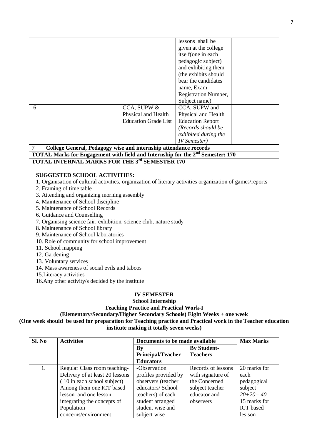|   |                                                                                            |                             | lessons shall be        |  |  |
|---|--------------------------------------------------------------------------------------------|-----------------------------|-------------------------|--|--|
|   |                                                                                            |                             | given at the college    |  |  |
|   |                                                                                            |                             | itself(one in each      |  |  |
|   |                                                                                            |                             | pedagogic subject)      |  |  |
|   |                                                                                            |                             | and exhibiting them     |  |  |
|   |                                                                                            |                             | (the exhibits should    |  |  |
|   |                                                                                            |                             | bear the candidates     |  |  |
|   |                                                                                            |                             | name, Exam              |  |  |
|   |                                                                                            |                             | Registration Number,    |  |  |
|   |                                                                                            |                             | Subject name)           |  |  |
| 6 |                                                                                            | CCA, SUPW &                 | CCA, SUPW and           |  |  |
|   |                                                                                            | Physical and Health         | Physical and Health     |  |  |
|   |                                                                                            | <b>Education Grade List</b> | <b>Education Report</b> |  |  |
|   |                                                                                            |                             | (Records should be      |  |  |
|   |                                                                                            |                             | exhibited during the    |  |  |
|   |                                                                                            |                             | <b>IV</b> Semester)     |  |  |
|   | College General, Pedagogy wise and internship attendance records                           |                             |                         |  |  |
|   | TOTAL Marks for Engagement with field and Internship for the 2 <sup>nd</sup> Semester: 170 |                             |                         |  |  |
|   | <b>TOTAL INTERNAL MARKS FOR THE 3rd SEMESTER 170</b>                                       |                             |                         |  |  |

#### **SUGGESTED SCHOOL ACTIVITIES:**

1. Organisation of cultural activities, organization of literary activities organization of games/reports

- 2. Framing of time table
- 3. Attending and organizing morning assembly
- 4. Maintenance of School discipline
- 5. Maintenance of School Records
- 6. Guidance and Counselling
- 7. Organising science fair, exhibition, science club, nature study
- 8. Maintenance of School library
- 9. Maintenance of School laboratories
- 10. Role of community for school improvement
- 11. School mapping
- 12. Gardening
- 13. Voluntary services
- 14. Mass awareness of social evils and taboos
- 15.Literacy activities
- 16.Any other activity/s decided by the institute

# **IV SEMESTER**

#### **School Internship Teaching Practice and Practical Work-I**

**(Elementary/Secondary/Higher Secondary Schools) Eight Weeks + one week (One week should be used for preparation for Teaching practice and Practical work in the Teacher education** 

**institute making it totally seven weeks)**

| Sl. No | <b>Activities</b>               | Documents to be made available |                    | <b>Max Marks</b> |
|--------|---------------------------------|--------------------------------|--------------------|------------------|
|        |                                 | $\mathbf{B}\mathbf{v}$         | <b>By Student-</b> |                  |
|        |                                 | <b>Principal/Teacher</b>       | <b>Teachers</b>    |                  |
|        |                                 | <b>Educators</b>               |                    |                  |
| 1.     | Regular Class room teaching-    | -Observation                   | Records of lessons | 20 marks for     |
|        | Delivery of at least 20 lessons | profiles provided by           | with signature of  | each             |
|        | (10 in each school subject)     | observers (teacher             | the Concerned      | pedagogical      |
|        | Among them one ICT based        | educators/ School              | subject teacher    | subject          |
|        | lesson and one lesson           | teachers) of each              | educator and       | $20+20=40$       |
|        | integrating the concepts of     | student arranged               | observers          | 15 marks for     |
|        | Population                      | student wise and               |                    | <b>ICT</b> based |
|        | concerns/environment            | subject wise                   |                    | les son          |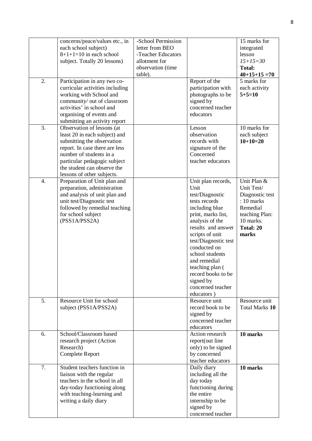|                  | concerns/peace/values etc., in<br>each school subject)<br>$8+1+1=10$ in each school<br>subject. Totally 20 lessons)                                                                                                                                 | -School Permission<br>letter from BEO<br>-Teacher Educators<br>allotment for<br>observation (time<br>table). |                                                                                                                                                                                                                                                                                                                                        | 15 marks for<br>integrated<br>lesson<br>$15 + 15 = 30$<br><b>Total:</b><br>$40+15+15=70$                                      |
|------------------|-----------------------------------------------------------------------------------------------------------------------------------------------------------------------------------------------------------------------------------------------------|--------------------------------------------------------------------------------------------------------------|----------------------------------------------------------------------------------------------------------------------------------------------------------------------------------------------------------------------------------------------------------------------------------------------------------------------------------------|-------------------------------------------------------------------------------------------------------------------------------|
| 2.               | Participation in any two co-<br>curricular activities including<br>working with School and<br>community/ out of classroom<br>activities' in school and<br>organising of events and<br>submitting an activity report                                 |                                                                                                              | Report of the<br>participation with<br>photographs to be<br>signed by<br>concerned teacher<br>educators                                                                                                                                                                                                                                | 5 marks for<br>each activity<br>$5 + 5 = 10$                                                                                  |
| 3.               | Observation of lessons (at<br>least 20 in each subject) and<br>submitting the observation<br>report. In case there are less<br>number of students in a<br>particular pedagogic subject<br>the student can observe the<br>lessons of other subjects. |                                                                                                              | Lesson<br>observation<br>records with<br>signature of the<br>Concerned<br>teacher educators                                                                                                                                                                                                                                            | 10 marks for<br>each subject<br>$10+10=20$                                                                                    |
| $\overline{4}$ . | Preparation of Unit plan and<br>preparation, administration<br>and analysis of unit plan and<br>unit test/Diagnostic test<br>followed by remedial teaching<br>for school subject<br>(PSS1A/PSS2A)                                                   |                                                                                                              | Unit plan records,<br>Unit<br>test/Diagnostic<br>tests records<br>including blue<br>print, marks list,<br>analysis of the<br>results and answer<br>scripts of unit<br>test/Diagnostic test<br>conducted on<br>school students<br>and remedial<br>teaching plan (<br>record books to be<br>signed by<br>concerned teacher<br>educators) | Unit Plan &<br>Unit Test/<br>Diagnostic test<br>$: 10$ marks<br>Remedial<br>teaching Plan:<br>10 marks.<br>Total: 20<br>marks |
| 5.               | Resource Unit for school<br>subject (PSS1A/PSS2A)                                                                                                                                                                                                   |                                                                                                              | Resource unit<br>record book to be<br>signed by<br>concerned teacher<br>educators                                                                                                                                                                                                                                                      | Resource unit<br><b>Total Marks 10</b>                                                                                        |
| 6.               | School/Classroom based<br>research project (Action<br>Research)<br>Complete Report                                                                                                                                                                  |                                                                                                              | Action research<br>report(out line<br>only) to be signed<br>by concerned<br>teacher educators                                                                                                                                                                                                                                          | 10 marks                                                                                                                      |
| 7.               | Student teachers function in<br>liaison with the regular<br>teachers in the school in all<br>day-today functioning along<br>with teaching-learning and<br>writing a daily diary                                                                     |                                                                                                              | Daily diary<br>including all the<br>day today<br>functioning during<br>the entire<br>internship to be<br>signed by<br>concerned teacher                                                                                                                                                                                                | 10 marks                                                                                                                      |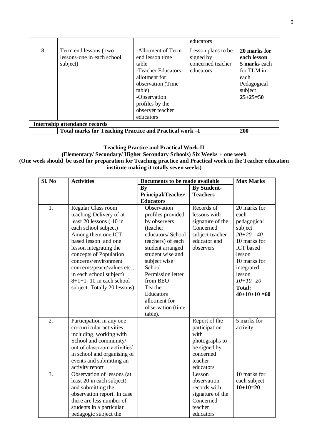|                                      |                                                                 |                                                                                                                                                                                           | educators                                                         |                                                                                                           |
|--------------------------------------|-----------------------------------------------------------------|-------------------------------------------------------------------------------------------------------------------------------------------------------------------------------------------|-------------------------------------------------------------------|-----------------------------------------------------------------------------------------------------------|
| 8.                                   | Term end lessons (two<br>lessons-one in each school<br>subject) | -Allotment of Term<br>end lesson time<br>table<br>-Teacher Educators<br>allotment for<br>observation (Time)<br>table)<br>-Observation<br>profiles by the<br>observer teacher<br>educators | Lesson plans to be<br>signed by<br>concerned teacher<br>educators | 20 marks for<br>each lesson<br>5 marks each<br>for TLM in<br>each<br>Pedagogical<br>subject<br>$25+25=50$ |
| <b>Internship attendance records</b> |                                                                 |                                                                                                                                                                                           |                                                                   |                                                                                                           |
|                                      | Total marks for Teaching Practice and Practical work -I         |                                                                                                                                                                                           |                                                                   | 200                                                                                                       |

## **Teaching Practice and Practical Work-II**

**(Elementary/ Secondary/ Higher Secondary Schools) Six Weeks + one week (One week should be used for preparation for Teaching practice and Practical work in the Teacher education institute making it totally seven weeks)**

| Sl. No | <b>Activities</b>                                                                                                                                                                                                                                                                                                                                 | Documents to be made available                                                                                                                                                                                                                     |                                                                                                               | <b>Max Marks</b>                                                                                                                                                                                   |
|--------|---------------------------------------------------------------------------------------------------------------------------------------------------------------------------------------------------------------------------------------------------------------------------------------------------------------------------------------------------|----------------------------------------------------------------------------------------------------------------------------------------------------------------------------------------------------------------------------------------------------|---------------------------------------------------------------------------------------------------------------|----------------------------------------------------------------------------------------------------------------------------------------------------------------------------------------------------|
|        |                                                                                                                                                                                                                                                                                                                                                   | $\mathbf{B}\mathbf{v}$                                                                                                                                                                                                                             | <b>By Student-</b>                                                                                            |                                                                                                                                                                                                    |
|        |                                                                                                                                                                                                                                                                                                                                                   | <b>Principal/Teacher</b>                                                                                                                                                                                                                           | <b>Teachers</b>                                                                                               |                                                                                                                                                                                                    |
|        |                                                                                                                                                                                                                                                                                                                                                   | <b>Educators</b>                                                                                                                                                                                                                                   |                                                                                                               |                                                                                                                                                                                                    |
| 1.     | Regular Class room<br>teaching-Delivery of at<br>least 20 lessons (10 in<br>each school subject)<br>Among them one ICT<br>based lesson and one<br>lesson integrating the<br>concepts of Population<br>concerns/environment<br>concerns/peace/values etc.,<br>in each school subject)<br>$8+1+1=10$ in each school<br>subject. Totally 20 lessons) | Observation<br>profiles provided<br>by observers<br>(teacher<br>educators/ School<br>teachers) of each<br>student arranged<br>student wise and<br>subject wise<br>School<br>Permission letter<br>from BEO<br>Teacher<br>Educators<br>allotment for | Records of<br>lessons with<br>signature of the<br>Concerned<br>subject teacher<br>educator and<br>observers   | 20 marks for<br>each<br>pedagogical<br>subject<br>$20+20=40$<br>10 marks for<br><b>ICT</b> based<br>lesson<br>10 marks for<br>integrated<br>lesson<br>$10+10=20$<br><b>Total:</b><br>$40+10+10=60$ |
|        |                                                                                                                                                                                                                                                                                                                                                   | observation (time                                                                                                                                                                                                                                  |                                                                                                               |                                                                                                                                                                                                    |
| 2.     | Participation in any one<br>co-curricular activities<br>including working with<br>School and community/<br>out of classroom activities'<br>in school and organising of<br>events and submitting an<br>activity report                                                                                                                             | table).                                                                                                                                                                                                                                            | Report of the<br>participation<br>with<br>photographs to<br>be signed by<br>concerned<br>teacher<br>educators | 5 marks for<br>activity                                                                                                                                                                            |
| 3.     | Observation of lessons (at<br>least 20 in each subject)<br>and submitting the<br>observation report. In case<br>there are less number of<br>students in a particular<br>pedagogic subject the                                                                                                                                                     |                                                                                                                                                                                                                                                    | Lesson<br>observation<br>records with<br>signature of the<br>Concerned<br>teacher<br>educators                | 10 marks for<br>each subject<br>$10+10=20$                                                                                                                                                         |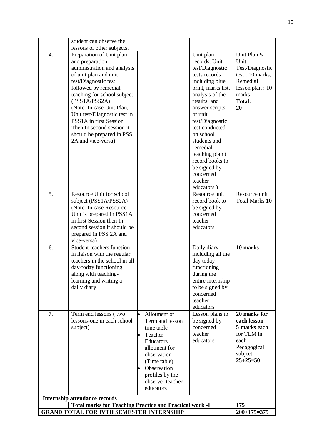|                                                 | student can observe the                                        |                        |                                |                             |
|-------------------------------------------------|----------------------------------------------------------------|------------------------|--------------------------------|-----------------------------|
|                                                 | lessons of other subjects.                                     |                        |                                |                             |
| 4.                                              | Preparation of Unit plan                                       |                        | Unit plan                      | Unit Plan &                 |
|                                                 | and preparation,                                               |                        | records, Unit                  | Unit                        |
|                                                 | administration and analysis                                    |                        | test/Diagnostic                | Test/Diagnostic             |
|                                                 | of unit plan and unit                                          |                        | tests records                  | test : $10$ marks,          |
|                                                 | test/Diagnostic test                                           |                        | including blue                 | Remedial                    |
|                                                 | followed by remedial                                           |                        | print, marks list,             | lesson plan : $10$          |
|                                                 | teaching for school subject                                    |                        | analysis of the<br>results and | marks                       |
|                                                 | (PSS1A/PSS2A)                                                  |                        |                                | <b>Total:</b><br>20         |
|                                                 | (Note: In case Unit Plan,<br>Unit test/Diagnostic test in      |                        | answer scripts<br>of unit      |                             |
|                                                 | PSS1A in first Session                                         |                        | test/Diagnostic                |                             |
|                                                 | Then In second session it                                      |                        | test conducted                 |                             |
|                                                 | should be prepared in PSS                                      |                        | on school                      |                             |
|                                                 | 2A and vice-versa)                                             |                        | students and                   |                             |
|                                                 |                                                                |                        | remedial                       |                             |
|                                                 |                                                                |                        | teaching plan (                |                             |
|                                                 |                                                                |                        | record books to                |                             |
|                                                 |                                                                |                        | be signed by                   |                             |
|                                                 |                                                                |                        | concerned                      |                             |
|                                                 |                                                                |                        | teacher                        |                             |
|                                                 |                                                                |                        | educators)                     |                             |
| 5.                                              | Resource Unit for school                                       |                        | Resource unit                  | Resource unit               |
|                                                 | subject (PSS1A/PSS2A)                                          |                        | record book to                 | Total Marks 10              |
|                                                 | (Note: In case Resource                                        |                        | be signed by                   |                             |
|                                                 | Unit is prepared in PSS1A                                      |                        | concerned                      |                             |
|                                                 | in first Session then In                                       |                        | teacher                        |                             |
|                                                 | second session it should be                                    |                        | educators                      |                             |
|                                                 | prepared in PSS 2A and<br>vice-versa)                          |                        |                                |                             |
| 6.                                              | Student teachers function                                      |                        | Daily diary                    | 10 marks                    |
|                                                 | in liaison with the regular                                    |                        | including all the              |                             |
|                                                 | teachers in the school in all                                  |                        | day today                      |                             |
|                                                 | day-today functioning                                          |                        | functioning                    |                             |
|                                                 | along with teaching-                                           |                        | during the                     |                             |
|                                                 | learning and writing a                                         |                        | entire internship              |                             |
|                                                 | daily diary                                                    |                        | to be signed by                |                             |
|                                                 |                                                                |                        | concerned                      |                             |
|                                                 |                                                                |                        | teacher                        |                             |
|                                                 |                                                                |                        | educators                      |                             |
| 7.                                              | Term end lessons (two                                          | Allotment of           | Lesson plans to                | 20 marks for                |
|                                                 | lessons-one in each school                                     | Term and lesson        | be signed by<br>concerned      | each lesson<br>5 marks each |
|                                                 | subject)                                                       | time table<br>Teacher  | teacher                        | for TLM in                  |
|                                                 |                                                                | $\bullet$<br>Educators | educators                      | each                        |
|                                                 |                                                                | allotment for          |                                | Pedagogical                 |
|                                                 |                                                                | observation            |                                | subject                     |
|                                                 |                                                                | (Time table)           |                                | $25+25=50$                  |
|                                                 |                                                                | Observation            |                                |                             |
|                                                 |                                                                | profiles by the        |                                |                             |
|                                                 |                                                                | observer teacher       |                                |                             |
|                                                 |                                                                | educators              |                                |                             |
|                                                 | <b>Internship attendance records</b>                           |                        |                                |                             |
|                                                 | <b>Total marks for Teaching Practice and Practical work -I</b> |                        |                                | 175                         |
| <b>GRAND TOTAL FOR IVTH SEMESTER INTERNSHIP</b> | $200+175=375$                                                  |                        |                                |                             |